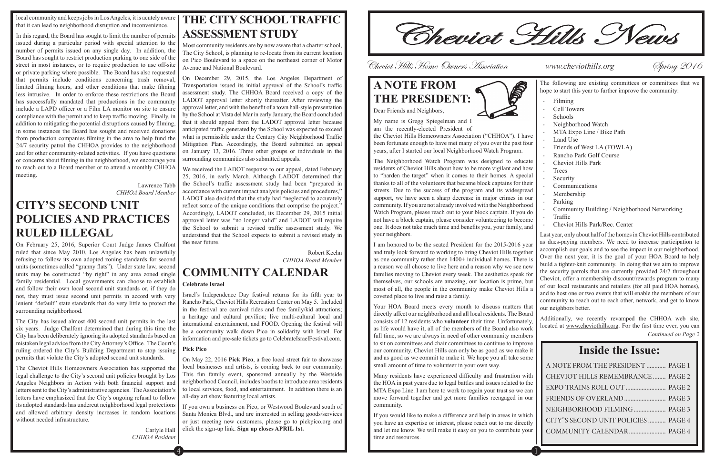local community and keeps jobs in Los Angeles, it is acutely aware that it can lead to neighborhood disruption and inconvenience.

> Lawrence Tabb *CHHOA Board Member*

In this regard, the Board has sought to limit the number of permits issued during a particular period with special attention to the number of permits issued on any single day. In addition, the Board has sought to restrict production parking to one side of the street in most instances, or to require production to use off-site or private parking where possible. The Board has also requested that permits include conditions concerning trash removal, limited filming hours, and other conditions that make filming less intrusive. In order to enforce these restrictions the Board has successfully mandated that productions in the community include a LAPD officer or a Film LA monitor on site to ensure compliance with the permit and to keep traffic moving. Finally, in addition to mitigating the potential disruptions caused by filming, in some instances the Board has sought and received donations from production companies filming in the area to help fund the 24/7 security patrol the CHHOA provides to the neighborhood and for other community-related activities. If you have questions or concerns about filming in the neighborhood, we encourage you to reach out to a Board member or to attend a monthly CHHOA meeting.

### **CITY'S SECOND UNIT POLICIES AND PRACTICES RULED ILLEGAL**

On February 25, 2016, Superior Court Judge James Chalfont ruled that since May 2010, Los Angeles has been unlawfully refusing to follow its own adopted zoning standards for second units (sometimes called "granny flats"). Under state law, second units may be constructed "by right" in any area zoned single family residential. Local governments can choose to establish and follow their own local second unit standards or, if they do not, they must issue second unit permits in accord with very lenient "default" state standards that do very little to protect the surrounding neighborhood.

The City has issued almost 400 second unit permits in the last six years. Judge Chalfont determined that during this time the City has been deliberately ignoring its adopted standards based on mistaken legal advice from the City Attorney's Office. The Court's ruling ordered the City's Building Department to stop issuing permits that violate the City's adopted second unit standards.

The Cheviot Hills Homeowners Association has supported the legal challenge to the City's second unit policies brought by Los Angeles Neighbors in Action with both financial support and letters sent to the City's administrative agencies. The Association's letters have emphasized that the City's ongoing refusal to follow its adopted standards has undercut neighborhood legal protections and allowed arbitrary density increases in random locations without needed infrastructure.

> Carlyle Hall *CHHOA Resident*

## **THE CITY SCHOOL TRAFFIC ASSESSMENT STUDY**

the Cheviot Hills Homeowners Association ("CHHOA"). been fortunate enough to have met many of you over the p years, after I started our local Neighborhood Watch Program.

The Neighborhood Watch Program was designed to residents of Cheviot Hills about how to be more vigilant a to "harden the target" when it comes to their homes. A thanks to all of the volunteers that became block captains streets. Due to the success of the program and its wide support, we have seen a sharp decrease in major crimes community. If you are not already involved with the Neighborhood Watch Program, please reach out to your block captain. If

Most community residents are by now aware that a charter school, The City School, is planning to re-locate from its current location on Pico Boulevard to a space on the northeast corner of Motor Avenue and National Boulevard.

On December 29, 2015, the Los Angeles Department of Transportation issued its initial approval of the School's traffic assessment study. The CHHOA Board received a copy of the LADOT approval letter shortly thereafter. After reviewing the approval letter, and with the benefit of a town hall-style presentation by the School at Vista del Mar in early January, the Board concluded that it should appeal from the LADOT approval letter because anticipated traffic generated by the School was expected to exceed what is permissible under the Century City Neighborhood Traffic Mitigation Plan. Accordingly, the Board submitted an appeal on January 13, 2016. Three other groups or individuals in the surrounding communities also submitted appeals.

We received the LADOT response to our appeal, dated February 25, 2016, in early March. Although LADOT determined that the School's traffic assessment study had been "prepared in accordance with current impact analysis policies and procedures," LADOT also decided that the study had "neglected to accurately reflect some of the unique conditions that comprise the project." Accordingly, LADOT concluded, its December 29, 2015 initial approval letter was "no longer valid" and LADOT will require the School to submit a revised traffic assessment study. We understand that the School expects to submit a revised study in the near future.

|                                   | hope to start this year to further improve the community: |
|-----------------------------------|-----------------------------------------------------------|
| 5<br>2                            | Filming<br><b>Cell Towers</b><br>Schools                  |
|                                   | Neighborhood Watch<br>MTA Expo Line / Bike Path           |
| . I have                          | Land Use                                                  |
| ast four                          | Friends of West LA (FOWLA)                                |
| am.                               | Rancho Park Golf Course                                   |
| educate                           | Cheviot Hills Park                                        |
| and how                           | Trees                                                     |
| special                           | Security                                                  |
| for their<br>lespread<br>s in our | Communications<br>Membership                              |
| borhood                           | Parking                                                   |
| f you do                          | Community Building / Neighborhood Networkin               |
| become                            | Traffic                                                   |
| nily, and                         | Cheviot Hills Park/Rec. Center                            |

Robert Keehn *CHHOA Board Member*

 $4$  ) and the contract of the contract of the contract of  $1$ 

# **COMMUNITY CALENDAR**

#### **Celebrate Israel**

not have a block captain, please consider volunteering to one. It does not take much time and benefits you, your family your neighbors. I am honored to be the seated President for the 2015-2016 year and truly look forward to working to bring Cheviot Hills together as one community rather then 1400+ individual homes. There is a reason we all choose to live here and a reason why we see new families moving to Cheviot every week. The aesthetics speak for themselves, our schools are amazing, our location is prime, but most of all, the people in the community make Cheviot Hills a coveted place to live and raise a family. Your HOA Board meets every month to discuss matters that - Cheviot Hills Park/Rec. Center Last year, only about half of the homes in Cheviot Hills contributed as dues-paying members. We need to increase participation to accomplish our goals and to see the impact in our neighborhood. Over the next year, it is the goal of your HOA Board to help build a tighter-knit community. In doing that we aim to improve the security patrols that are currently provided 24/7 throughout Cheviot, offer a membership discount/rewards program to many of our local restaurants and retailers (for all paid HOA homes), and to host one or two events that will enable the members of our community to reach out to each other, network, and get to know our neighbors better.

Israel's Independence Day festival returns for its fifth year to Rancho Park, Cheviot Hills Recreation Center on May 5. Included in the festival are carnival rides and free family/kid attractions; a heritage and cultural pavilion; live multi-cultural local and international entertainment, and FOOD. Opening the festival will be a community walk down Pico in solidarity with Israel. For information and pre-sale tickets go to CelebrateIsraelFestival.com.

#### **Pick Pico**

On May 22, 2016 **Pick Pico**, a free local street fair to showcase local businesses and artists, is coming back to our community. This fun family event, sponsored annually by the Westside neighborhood Council, includes booths to introduce area residents to local services, food, and entertainment. In addition there is an all-day art show featuring local artists.

If you own a business on Pico, or Westwood Boulevard south of Santa Monica Blvd., and are interested in selling goods/services or just meeting new customers, please go to pickpico.org and click the sign-up link. **Sign up closes APRIL 1st.**

Cheviot Hills News

Cheviot Hills Home Owners Association **www.cheviothills.org Spring 2016** 

### **A NOTE FROM THE PRESIDENT:** Dear Friends and Neighbors,



My name is Gregg Spiegelman and I am the recently-elected President of

Many residents have experienced difficulty and frustration with the HOA in past years due to legal battles and issues related to the MTA Expo Line. I am here to work to regain your trust so we can move forward together and get more families reengaged in our community.

If you would like to make a difference and help in areas in which you have an expertise or interest, please reach out to me directly and let me know. We will make it easy on you to contribute your time and resources.

The following are existing committees or committees that we

| Schools                                      |
|----------------------------------------------|
| Neighborhood Watch                           |
| MTA Expo Line / Bike Path                    |
| Land Use                                     |
| Friends of West LA (FOWLA)                   |
| Rancho Park Golf Course                      |
| <b>Cheviot Hills Park</b>                    |
| Trees                                        |
| Security                                     |
| Communications                               |
| Membership                                   |
| Parking                                      |
| Community Building / Neighborhood Networking |
| Traffic                                      |
| Cheviot Hills Park/Rec. Center               |
|                                              |

directly affect our neighborhood and all local residents. The Board consists of 12 residents who **volunteer** their time. Unfortunately, as life would have it, all of the members of the Board also work full time, so we are always in need of other community members to sit on committees and chair committees to continue to improve our community. Cheviot Hills can only be as good as we make it and as good as we commit to make it. We hope you all take some small amount of time to volunteer in your own way. Additionally, we recently revamped the CHHOA web site, located at www.cheviothills.org. For the first time ever, you can **Inside the Issue:** *Continued on Page 2*

| A NOTE FROM THE PRESIDENT  PAGE 1   |  |
|-------------------------------------|--|
| CHEVIOT HILLS REMEMBRANCE PAGE 2    |  |
|                                     |  |
|                                     |  |
| NEIGHBORHOOD FILMING  PAGE 3        |  |
| CITY"S SECOND UNIT POLICIES  PAGE 4 |  |
| COMMUNITY CALENDAR  PAGE 4          |  |